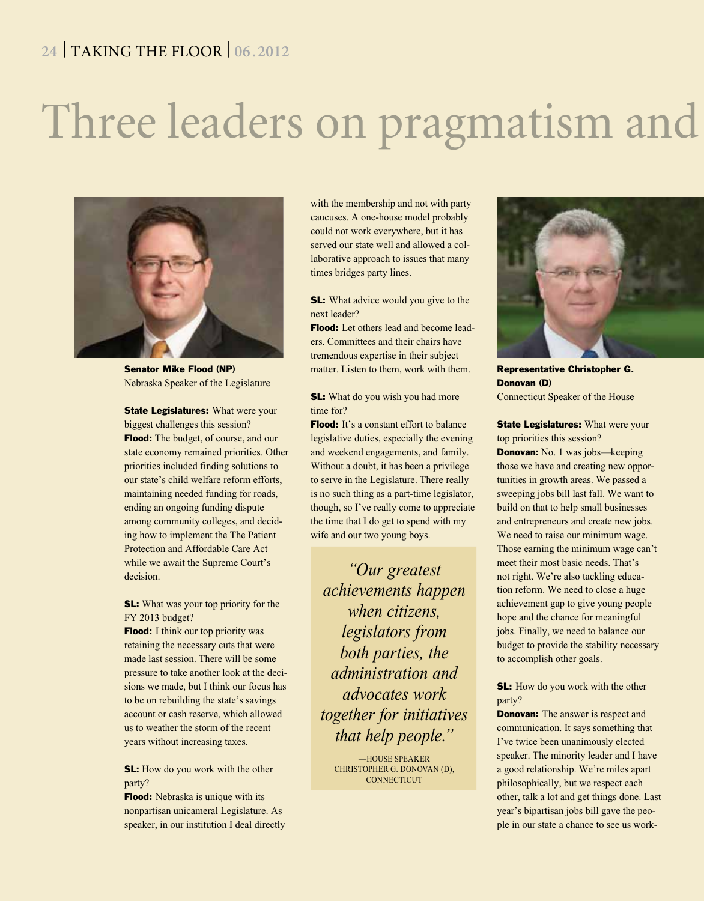### **24** | TAKING THE FLOOR | **06 .2012**

## Three leaders on pragmatism and



Senator Mike Flood (NP) Nebraska Speaker of the Legislature

**State Legislatures:** What were your biggest challenges this session? **Flood:** The budget, of course, and our state economy remained priorities. Other priorities included finding solutions to our state's child welfare reform efforts, maintaining needed funding for roads, ending an ongoing funding dispute among community colleges, and deciding how to implement the The Patient Protection and Affordable Care Act while we await the Supreme Court's decision.

SL: What was your top priority for the FY 2013 budget?

**Flood:** I think our top priority was retaining the necessary cuts that were made last session. There will be some pressure to take another look at the decisions we made, but I think our focus has to be on rebuilding the state's savings account or cash reserve, which allowed us to weather the storm of the recent years without increasing taxes.

**SL:** How do you work with the other party?

**Flood:** Nebraska is unique with its nonpartisan unicameral Legislature. As speaker, in our institution I deal directly

with the membership and not with party caucuses. A one-house model probably could not work everywhere, but it has served our state well and allowed a collaborative approach to issues that many times bridges party lines.

**SL:** What advice would you give to the next leader?

**Flood:** Let others lead and become leaders. Committees and their chairs have tremendous expertise in their subject matter. Listen to them, work with them.

**SL:** What do you wish you had more time for?

**Flood:** It's a constant effort to balance legislative duties, especially the evening and weekend engagements, and family. Without a doubt, it has been a privilege to serve in the Legislature. There really is no such thing as a part-time legislator, though, so I've really come to appreciate the time that I do get to spend with my wife and our two young boys.

*"Our greatest achievements happen when citizens, legislators from both parties, the administration and advocates work together for initiatives that help people."*

—HOUSE SPEAKER CHRISTOPHER G. DONOVAN (D), **CONNECTICUT** 



Representative Christopher G. Donovan (D) Connecticut Speaker of the House

**State Legislatures:** What were your top priorities this session?

**Donovan:** No. 1 was jobs—keeping those we have and creating new opportunities in growth areas. We passed a sweeping jobs bill last fall. We want to build on that to help small businesses and entrepreneurs and create new jobs. We need to raise our minimum wage. Those earning the minimum wage can't meet their most basic needs. That's not right. We're also tackling education reform. We need to close a huge achievement gap to give young people hope and the chance for meaningful jobs. Finally, we need to balance our budget to provide the stability necessary to accomplish other goals.

### **SL:** How do you work with the other party?

**Donovan:** The answer is respect and communication. It says something that I've twice been unanimously elected speaker. The minority leader and I have a good relationship. We're miles apart philosophically, but we respect each other, talk a lot and get things done. Last year's bipartisan jobs bill gave the people in our state a chance to see us work-